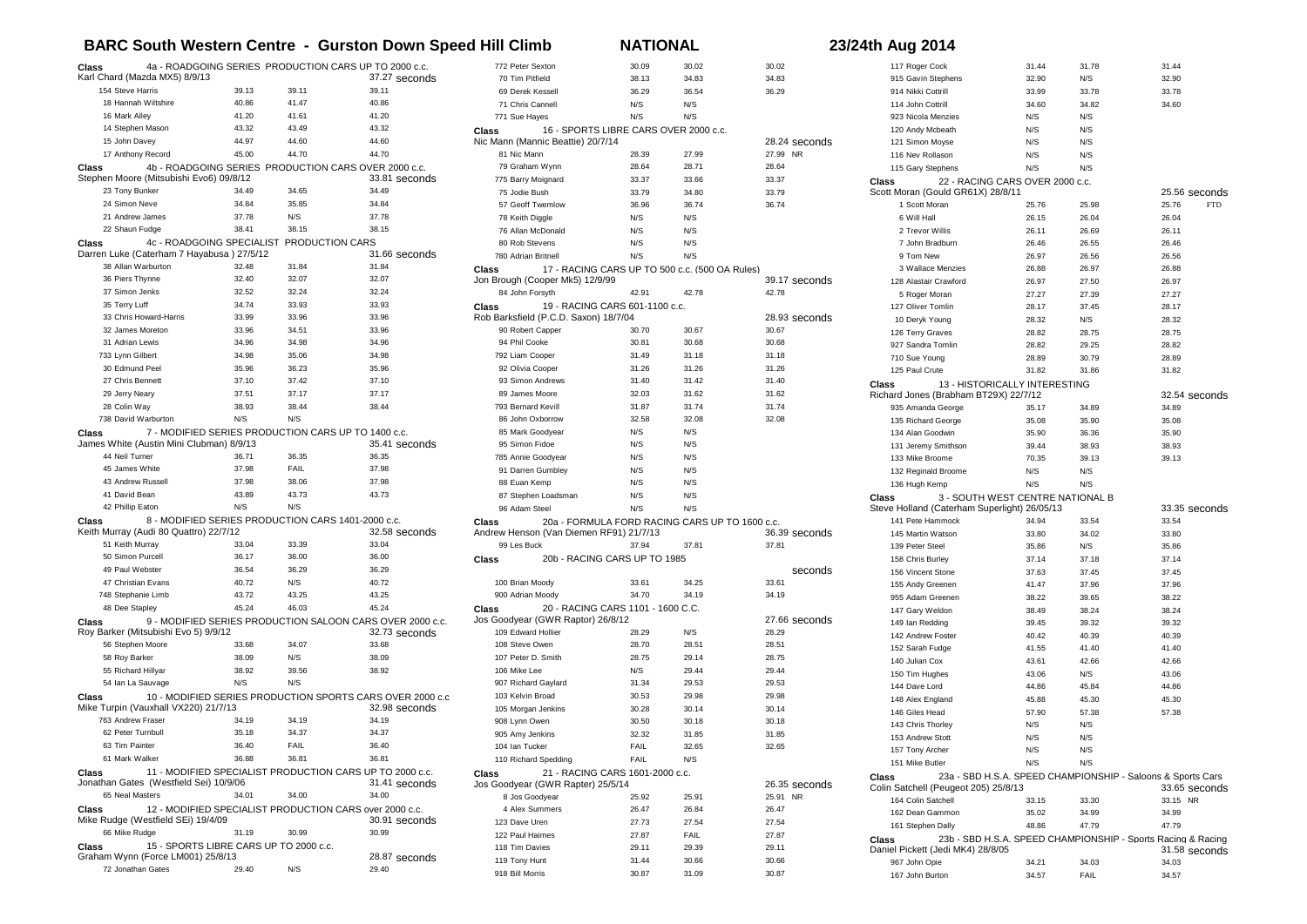## **BARC South Western Centre - Gurston Down Speed Hill Climb NATIONAL 23/24th Aug 2014**

| 4a - ROADGOING SERIES PRODUCTION CARS UP TO 2000 c.c.<br>Class                                                          |                |                |                                                                            |         |
|-------------------------------------------------------------------------------------------------------------------------|----------------|----------------|----------------------------------------------------------------------------|---------|
| Karl Chard (Mazda MX5) 8/9/13                                                                                           |                |                | 37.27 seconds                                                              |         |
| 154 Steve Harris<br>18 Hannah Wiltshire                                                                                 | 39.13          | 39.11          | 39.11                                                                      |         |
|                                                                                                                         | 40.86<br>41.20 | 41.47<br>41.61 | 40.86<br>41.20                                                             |         |
| 16 Mark Alley<br>14 Stephen Mason                                                                                       | 43.32          | 43.49          | 43.32                                                                      |         |
| 15 John Davey                                                                                                           | 44.97          | 44.60          | 44.60                                                                      | c<br>N  |
| 17 Anthony Record                                                                                                       | 45.00          | 44.70          | 44.70                                                                      |         |
| 4b - ROADGOING SERIES PRODUCTION CARS OVER 2000 c.c.<br>Class                                                           |                |                |                                                                            |         |
| Stephen Moore (Mitsubishi Evo6) 09/8/12                                                                                 |                |                | 33.81 seconds                                                              |         |
| 23 Tony Bunker                                                                                                          | 34.49          | 34.65          | 34.49                                                                      |         |
| 24 Simon Neve                                                                                                           | 34.84          | 35.85          | 34.84                                                                      |         |
| 21 Andrew James                                                                                                         | 37.78          | N/S            | 37.78                                                                      |         |
| 22 Shaun Fudge                                                                                                          | 38.41          | 38.15          | 38.15                                                                      |         |
| 4c - ROADGOING SPECIALIST PRODUCTION CARS<br>Class<br>Darren Luke (Caterham 7 Hayabusa) 27/5/12                         |                |                | 31.66 seconds                                                              |         |
| 38 Allan Warburton                                                                                                      | 32.48          | 31.84          | 31.84                                                                      |         |
| 36 Piers Thynne                                                                                                         | 32.40          | 32.07          | 32.07                                                                      | С<br>J٥ |
| 37 Simon Jenks                                                                                                          | 32.52          | 32.24          | 32.24                                                                      |         |
| 35 Terry Luff                                                                                                           | 34.74          | 33.93          | 33.93                                                                      |         |
| 33 Chris Howard-Harris                                                                                                  | 33.99          | 33.96          | 33.96                                                                      | С<br>R  |
| 32 James Moreton                                                                                                        | 33.96          | 34.51          | 33.96                                                                      |         |
| 31 Adrian Lewis                                                                                                         | 34.96          | 34.98          | 34.96                                                                      |         |
| 733 Lynn Gilbert                                                                                                        | 34.98          | 35.06          | 34.98                                                                      |         |
| 30 Edmund Peel                                                                                                          | 35.96          | 36.23          | 35.96                                                                      |         |
| 27 Chris Bennett                                                                                                        | 37.10          | 37.42          | 37.10                                                                      |         |
| 29 Jerry Neary                                                                                                          | 37.51          | 37.17          | 37.17                                                                      |         |
| 28 Colin Way                                                                                                            | 38.93          | 38.44          | 38.44                                                                      |         |
| 738 David Warburton                                                                                                     | N/S            | N/S            |                                                                            |         |
| 7 - MODIFIED SERIES PRODUCTION CARS UP TO 1400 c.c.<br>Class                                                            |                |                |                                                                            |         |
| James White (Austin Mini Clubman) 8/9/13                                                                                |                | 36.35          | 35.41 seconds                                                              |         |
| 44 Neil Turner<br>45 James White                                                                                        | 36.71<br>37.98 | FAIL           | 36.35<br>37.98                                                             |         |
| 43 Andrew Russell                                                                                                       | 37.98          | 38.06          | 37.98                                                                      |         |
| 41 David Bean                                                                                                           | 43.89          | 43.73          | 43.73                                                                      |         |
| 42 Phillip Eaton                                                                                                        | N/S            | N/S            |                                                                            |         |
| 8 - MODIFIED SERIES PRODUCTION CARS 1401-2000 c.c.                                                                      |                |                |                                                                            |         |
| Class<br>Keith Murray (Audi 80 Quattro) 22/7/12                                                                         |                |                | 32.58 seconds                                                              | с<br>А  |
| 51 Keith Murray                                                                                                         | 33.04          | 33.39          | 33.04                                                                      |         |
| 50 Simon Purcell                                                                                                        | 36.17          | 36.00          | 36.00                                                                      | с       |
| 49 Paul Webster                                                                                                         | 36.54          | 36.29          | 36.29                                                                      |         |
| 47 Christian Evans                                                                                                      | 40.72          | N/S            | 40.72                                                                      |         |
| 748 Stephanie Limb                                                                                                      | 43.72          | 43.25          | 43.25                                                                      |         |
| 48 Dee Stapley                                                                                                          | 45.24          | 46.03          | 45.24                                                                      | с       |
| Class<br>Roy Barker (Mitsubishi Evo 5) 9/9/12                                                                           |                |                | 9 - MODIFIED SERIES PRODUCTION SALOON CARS OVER 2000 c.c.<br>32.73 seconds | J٥      |
| 56 Stephen Moore                                                                                                        | 33.68          | 34.07          | 33.68                                                                      |         |
| 58 Roy Barker                                                                                                           | 38.09          | N/S            | 38.09                                                                      |         |
| 55 Richard Hillyar                                                                                                      | 38.92          | 39.56          | 38.92                                                                      |         |
| 54 Ian La Sauvage                                                                                                       | N/S            | N/S            |                                                                            |         |
| Class<br>Mike Turpin (Vauxhall VX220) 21/7/13                                                                           |                |                | 10 - MODIFIED SERIES PRODUCTION SPORTS CARS OVER 2000 c.c<br>32.98 seconds |         |
| 763 Andrew Fraser                                                                                                       | 34.19          | 34.19          | 34.19                                                                      |         |
| 62 Peter Turnbull                                                                                                       | 35.18          | 34.37          | 34.37                                                                      |         |
| 63 Tim Painter                                                                                                          | 36.40          | FAIL           | 36.40                                                                      |         |
| 61 Mark Walker                                                                                                          | 36.88          | 36.81          | 36.81                                                                      |         |
| 11 - MODIFIED SPECIALIST PRODUCTION CARS UP TO 2000 c.c.<br>Class                                                       |                |                |                                                                            | c       |
| Jonathan Gates (Westfield Sei) 10/9/06                                                                                  |                |                | 31.41 seconds                                                              | J٥      |
| 65 Neal Masters                                                                                                         | 34.01          | 34.00          | 34.00                                                                      |         |
| 12 - MODIFIED SPECIALIST PRODUCTION CARS over 2000 c.c.<br>Class<br>Mike Rudge (Westfield SEi) 19/4/09<br>30.91 seconds |                |                |                                                                            |         |
| 66 Mike Rudge                                                                                                           | 31.19          | 30.99          | 30.99                                                                      |         |
| Class<br>15 - SPORTS LIBRE CARS UP TO 2000 c.c.<br>Graham Wynn (Force LM001) 25/8/13<br>28.87 seconds                   |                |                |                                                                            |         |
| 72 Jonathan Gates                                                                                                       | 29.40          | N/S            | 29.40                                                                      |         |

|       | 772 Peter Sexton                               | 30.09 | 30.02 | 30.02    |               |
|-------|------------------------------------------------|-------|-------|----------|---------------|
|       | 70 Tim Pitfield                                | 38.13 | 34.83 | 34.83    |               |
|       | 69 Derek Kessell                               | 36.29 | 36.54 | 36.29    |               |
|       | 71 Chris Cannell                               | N/S   | N/S   |          |               |
|       | 771 Sue Hayes                                  | N/S   | N/S   |          |               |
| Class | 16 - SPORTS LIBRE CARS OVER 2000 c.c.          |       |       |          |               |
|       | Nic Mann (Mannic Beattie) 20/7/14              |       |       |          | 28.24 seconds |
|       | 81 Nic Mann                                    | 28.39 | 27.99 | 27.99 NR |               |
|       | 79 Graham Wynn                                 | 28.64 | 28.71 | 28.64    |               |
|       | 775 Barry Moignard                             | 33.37 | 33.66 | 33.37    |               |
|       | 75 Jodie Bush                                  | 33.79 | 34.80 | 33.79    |               |
|       | 57 Geoff Twemlow                               | 36.96 | 36.74 | 36.74    |               |
|       | 78 Keith Diggle                                | N/S   | N/S   |          |               |
|       | 76 Allan McDonald                              | N/S   | N/S   |          |               |
|       | 80 Rob Stevens                                 | N/S   | N/S   |          |               |
|       | 780 Adrian Britnell                            | N/S   | N/S   |          |               |
|       |                                                |       |       |          |               |
| Class | 17 - RACING CARS UP TO 500 c.c. (500 OA Rules) |       |       |          |               |
|       | Jon Brough (Cooper Mk5) 12/9/99                |       |       |          | 39.17 seconds |
|       | 84 John Forsyth                                | 42.91 | 42.78 | 42.78    |               |
| Class | 19 - RACING CARS 601-1100 c.c.                 |       |       |          |               |
|       | Rob Barksfield (P.C.D. Saxon) 18/7/04          |       |       |          | 28.93 seconds |
|       | 90 Robert Capper                               | 30.70 | 30.67 | 30.67    |               |
|       | 94 Phil Cooke                                  | 30.81 | 30.68 | 30.68    |               |
|       | 792 Liam Cooper                                | 31.49 | 31.18 | 31.18    |               |
|       | 92 Olivia Cooper                               | 31.26 | 31.26 | 31.26    |               |
|       | 93 Simon Andrews                               | 31.40 | 31.42 | 31.40    |               |
|       | 89 James Moore                                 | 32.03 | 31.62 | 31.62    |               |
|       | 793 Bernard Kevill                             | 31.87 | 31.74 | 31.74    |               |
|       | 86 John Oxborrow                               | 32.58 | 32.08 | 32.08    |               |
|       | 85 Mark Goodyear                               | N/S   | N/S   |          |               |
|       | 95 Simon Fidoe                                 | N/S   | N/S   |          |               |
|       | 785 Annie Goodvear                             | N/S   | N/S   |          |               |
|       | 91 Darren Gumbley                              | N/S   | N/S   |          |               |
|       | 88 Euan Kemp                                   | N/S   | N/S   |          |               |
|       | 87 Stephen Loadsman                            | N/S   | N/S   |          |               |
|       | 96 Adam Steel                                  | N/S   | N/S   |          |               |
|       |                                                |       |       |          |               |
| Class | 20a - FORMULA FORD RACING CARS UP TO 1600 c.c. |       |       |          |               |
|       | Andrew Henson (Van Diemen RF91) 21/7/13        |       |       |          | 36.39 seconds |
|       | 99 Les Buck                                    | 37.94 | 37.81 | 37.81    |               |
| Class | 20b - RACING CARS UP TO 1985                   |       |       |          |               |
|       |                                                |       |       |          | seconds       |
|       | 100 Brian Moody                                | 33.61 | 34.25 | 33.61    |               |
|       | 900 Adrian Moody                               | 34.70 | 34.19 | 34.19    |               |
| Class | 20 - RACING CARS 1101 - 1600 C.C.              |       |       |          |               |
|       | Jos Goodyear (GWR Raptor) 26/8/12              |       |       |          | 27.66 seconds |
|       | 109 Edward Hollier                             | 28.29 | N/S   | 28.29    |               |
|       | 108 Steve Owen                                 | 28.70 | 28.51 | 28.51    |               |
|       | 107 Peter D. Smith                             | 28.75 | 29.14 | 28.75    |               |
|       | 106 Mike Lee                                   | N/S   | 29.44 | 29.44    |               |
|       | 907 Richard Gaylard                            | 31.34 | 29.53 | 29.53    |               |
|       | 103 Kelvin Broad                               | 30.53 | 29.98 | 29.98    |               |
|       | 105 Morgan Jenkins                             | 30.28 | 30.14 | 30.14    |               |
|       | 908 Lynn Owen                                  | 30.50 | 30.18 | 30.18    |               |
|       | 905 Amy Jenkins                                | 32.32 | 31.85 | 31.85    |               |
|       | 104 Ian Tucker                                 | FAIL  | 32.65 | 32.65    |               |
|       | 110 Richard Spedding                           | FAIL  | N/S   |          |               |
|       |                                                |       |       |          |               |
| Class | 21 - RACING CARS 1601-2000 c.c.                |       |       |          |               |
|       | Jos Goodyear (GWR Rapter) 25/5/14              | 25.92 |       | 25.91 NR | 26.35 seconds |
|       | 8 Jos Goodyear                                 |       | 25.91 |          |               |
|       | 4 Alex Summers                                 | 26.47 | 26.84 | 26.47    |               |
|       | 123 Dave Uren                                  | 27.73 | 27.54 | 27.54    |               |
|       | 122 Paul Haimes                                | 27.87 | FAIL  | 27.87    |               |
|       | 118 Tim Davies                                 | 29.11 | 29.39 | 29.11    |               |
|       | 119 Tony Hunt                                  | 31.44 | 30.66 | 30.66    |               |
|       | 918 Bill Morris                                | 30.87 | 31.09 | 30.87    |               |

|                | 117 Roger Cock                                               | 31.44 | 31.78 | 31.44               |
|----------------|--------------------------------------------------------------|-------|-------|---------------------|
|                | 915 Gavin Stephens                                           | 32.90 | N/S   | 32.90               |
|                | 914 Nikki Cottrill                                           | 33.99 | 33.78 | 33.78               |
|                | 114 John Cottrill                                            | 34.60 | 34.82 | 34.60               |
|                | 923 Nicola Menzies                                           | N/S   | N/S   |                     |
|                | 120 Andy Mcbeath                                             | N/S   | N/S   |                     |
|                | 121 Simon Moyse                                              | N/S   | N/S   |                     |
|                | 116 Nev Rollason                                             | N/S   | N/S   |                     |
|                | 115 Gary Stephens                                            | N/S   | N/S   |                     |
| Class          | 22 - RACING CARS OVER 2000 c.c.                              |       |       |                     |
|                | Scott Moran (Gould GR61X) 28/8/11                            |       |       | 25.56 seconds       |
|                | 1 Scott Moran                                                | 25.76 | 25.98 | <b>FTD</b><br>25.76 |
|                | 6 Will Hall                                                  | 26.15 | 26.04 | 26.04               |
|                | 2 Trevor Willis                                              | 26.11 | 26.69 | 26.11               |
|                | 7 John Bradburn                                              | 26.46 | 26.55 | 26.46               |
|                | 9 Tom New                                                    | 26.97 | 26.56 | 26.56               |
|                | 3 Wallace Menzies                                            | 26.88 | 26.97 | 26.88               |
|                | 128 Alastair Crawford                                        | 26.97 | 27.50 | 26.97               |
|                | 5 Roger Moran                                                | 27.27 | 27.39 | 27.27               |
|                | 127 Oliver Tomlin                                            | 28.17 | 37.45 | 28.17               |
|                | 10 Deryk Young                                               | 28.32 | N/S   | 28.32               |
|                | 126 Terry Graves                                             | 28.82 | 28.75 | 28.75               |
|                | 927 Sandra Tomlin                                            | 28.82 | 29.25 | 28.82               |
|                | 710 Sue Young                                                | 28.89 | 30.79 | 28.89               |
|                | 125 Paul Crute                                               | 31.82 | 31.86 | 31.82               |
| Class          | 13 - HISTORICALLY INTERESTING                                |       |       |                     |
|                | Richard Jones (Brabham BT29X) 22/7/12                        |       |       | 32.54 seconds       |
|                | 935 Amanda George                                            | 35.17 | 34.89 | 34.89               |
|                | 135 Richard George                                           | 35.08 | 35.90 | 35.08               |
|                | 134 Alan Goodwin                                             | 35.90 | 36.36 | 35.90               |
|                | 131 Jeremy Smithson                                          | 39.44 | 38.93 | 38.93               |
|                | 133 Mike Broome                                              | 70.35 | 39.13 | 39.13               |
|                | 132 Reginald Broome                                          | N/S   | N/S   |                     |
|                | 136 Hugh Kemp                                                | N/S   | N/S   |                     |
| Class          | 3 - SOUTH WEST CENTRE NATIONAL B                             |       |       |                     |
|                | Steve Holland (Caterham Superlight) 26/05/13                 |       |       | 33.35 seconds       |
|                | 141 Pete Hammock                                             | 34.94 | 33.54 | 33.54               |
|                | 145 Martin Watson                                            | 33.80 | 34.02 | 33.80               |
|                | 139 Peter Steel                                              | 35.86 | N/S   | 35.86               |
|                | 158 Chris Burley                                             | 37.14 | 37.18 | 37.14               |
|                | 156 Vincent Stone                                            | 37.63 | 37.45 | 37.45               |
|                | 155 Andy Greenen                                             | 41.47 | 37.96 | 37.96               |
|                | 955 Adam Greenen                                             | 38.22 | 39.65 | 38.22               |
|                | 147 Gary Weldon                                              | 38.49 | 38.24 | 38.24               |
|                | 149 Ian Redding                                              | 39.45 | 39.32 | 39.32               |
|                | 142 Andrew Foster                                            | 40.42 | 40.39 | 40.39               |
|                | 152 Sarah Fudge                                              | 41.55 | 41.40 | 41.40               |
| 140 Julian Cox |                                                              | 43.61 | 42.66 | 42.66               |
|                | 150 Tim Hughes                                               | 43.06 | N/S   | 43.06               |
| 144 Dave Lord  |                                                              | 44.86 | 45.84 | 44.86               |
|                | 148 Alex England                                             |       | 45.30 | 45.30               |
|                |                                                              | 45.88 |       |                     |
|                | 146 Giles Head                                               | 57.90 | 57.38 | 57.38               |
|                | 143 Chris Thorley                                            | N/S   | N/S   |                     |
|                | 153 Andrew Stott                                             | N/S   | N/S   |                     |
|                | 157 Tony Archer                                              | N/S   | N/S   |                     |
|                | 151 Mike Butler                                              | N/S   | N/S   |                     |
| Class          | 23a - SBD H.S.A. SPEED CHAMPIONSHIP - Saloons & Sports Cars  |       |       |                     |
|                | Colin Satchell (Peugeot 205) 25/8/13                         |       |       | 33.65 seconds       |
|                | 164 Colin Satchell                                           | 33.15 | 33.30 | 33.15 NR            |
|                | 162 Dean Gammon                                              | 35.02 | 34.99 | 34.99               |
|                | 161 Stephen Dally                                            | 48.86 | 47.79 | 47.79               |
| Class          | 23b - SBD H.S.A. SPEED CHAMPIONSHIP - Sports Racing & Racing |       |       |                     |
|                | Daniel Pickett (Jedi MK4) 28/8/05                            |       |       | 31.58 seconds       |
| 967 John Opie  |                                                              | 34.21 | 34.03 | 34.03               |
|                | 167 John Burton                                              | 34.57 | FAIL  | 34.57               |